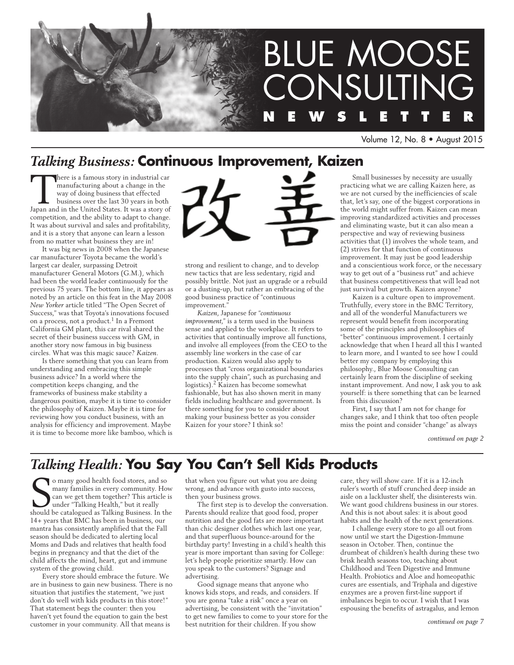

Volume 12, No. 8 • August 2015

# *Talking Business:* **Continuous Improvement, Kaizen**

There is a famous story in industrial car manufacturing about a change in the way of doing business that effected business over the last 30 years in both Japan and in the United States. It was a story of manufacturing about a change in the way of doing business that effected business over the last 30 years in both competition, and the ability to adapt to change. It was about survival and sales and profitability, and it is a story that anyone can learn a lesson from no matter what business they are in!

It was big news in 2008 when the Japanese car manufacturer Toyota became the world's largest car dealer, surpassing Detroit manufacturer General Motors (G.M.), which had been the world leader continuously for the previous 75 years. The bottom line, it appears as noted by an article on this feat in the May 2008 *New Yorker* article titled "The Open Secret of Success," was that Toyota's innovations focused on a process, not a product.<sup>1</sup> In a Fremont California GM plant, this car rival shared the secret of their business success with GM, in another story now famous in big business circles. What was this magic sauce? *Kaizen.*

Is there something that you can learn from understanding and embracing this simple business advice? In a world where the competition keeps changing, and the frameworks of business make stability a dangerous position, maybe it is time to consider the philosophy of Kaizen. Maybe it is time for reviewing how you conduct business, with an analysis for efficiency and improvement. Maybe it is time to become more like bamboo, which is



strong and resilient to change, and to develop new tactics that are less sedentary, rigid and possibly brittle. Not just an upgrade or a rebuild or a dusting-up, but rather an embracing of the good business practice of "continuous improvement."

*Kaizen*, Japanese for "*continuous improvement*," is a term used in the business sense and applied to the workplace. It refers to activities that continually improve all functions, and involve all employees (from the CEO to the assembly line workers in the case of car production. Kaizen would also apply to processes that "cross organizational boundaries into the supply chain", such as purchasing and logistics).2 Kaizen has become somewhat fashionable, but has also shown merit in many fields including healthcare and government. Is there something for you to consider about making your business better as you consider Kaizen for your store? I think so!

Small businesses by necessity are usually practicing what we are calling Kaizen here, as we are not cursed by the inefficiencies of scale that, let's say, one of the biggest corporations in the world might suffer from. Kaizen can mean improving standardized activities and processes and eliminating waste, but it can also mean a perspective and way of reviewing business activities that (1) involves the whole team, and (2) strives for that function of continuous improvement. It may just be good leadership and a conscientious work force, or the necessary way to get out of a "business rut" and achieve that business competitiveness that will lead not just survival but growth. Kaizen anyone?

Kaizen is a culture open to improvement. Truthfully, every store in the BMC Territory, and all of the wonderful Manufacturers we represent would benefit from incorporating some of the principles and philosophies of "better" continuous improvement. I certainly acknowledge that when I heard all this I wanted to learn more, and I wanted to see how I could better my company by employing this philosophy., Blue Moose Consulting can certainly learn from the discipline of seeking instant improvement. And now, I ask you to ask yourself: is there something that can be learned from this discussion?

First, I say that I am not for change for changes sake, and I think that too often people miss the point and consider "change" as always

*continued on page 2*

# *Talking Health:* **You Say You Can't Sell Kids Products**

So many good health food stores, and so many families in every community. How can we get them together? This article is under "Talking Health," but it really should be catalogued as Talking Business. In the o many good health food stores, and so many families in every community. How can we get them together? This article is under "Talking Health," but it really 14+ years that BMC has been in business, our mantra has consistently amplified that the Fall season should be dedicated to alerting local Moms and Dads and relatives that health food begins in pregnancy and that the diet of the child affects the mind, heart, gut and immune system of the growing child.

Every store should embrace the future. We are in business to gain new business. There is no situation that justifies the statement, "we just don't do well with kids products in this store!" That statement begs the counter: then you haven't yet found the equation to gain the best customer in your community. All that means is

that when you figure out what you are doing wrong, and advance with gusto into success, then your business grows.

The first step is to develop the conversation. Parents should realize that good food, proper nutrition and the good fats are more important than chic designer clothes which last one year, and that superfluous bounce-around for the birthday party! Investing in a child's health this year is more important than saving for College: let's help people prioritize smartly. How can you speak to the customers? Signage and advertising.

Good signage means that anyone who knows kids stops, and reads, and considers. If you are gonna "take a risk" once a year on advertising, be consistent with the "invitation" to get new families to come to your store for the best nutrition for their children. If you show

care, they will show care. If it is a 12-inch ruler's worth of stuff crunched deep inside an aisle on a lackluster shelf, the disinterests win. We want good childrens business in our stores. And this is not about sales: it is about good habits and the health of the next generations.

I challenge every store to go all out from now until we start the Digestion-Immune season in October. Then, continue the drumbeat of children's health during these two brisk health seasons too, teaching about Childhood and Teen Digestive and Immune Health. Probiotics and Aloe and homeopathic cures are essentials, and Triphala and digestive enzymes are a proven first-line support if imbalances begin to occur. I wish that I was espousing the benefits of astragalus, and lemon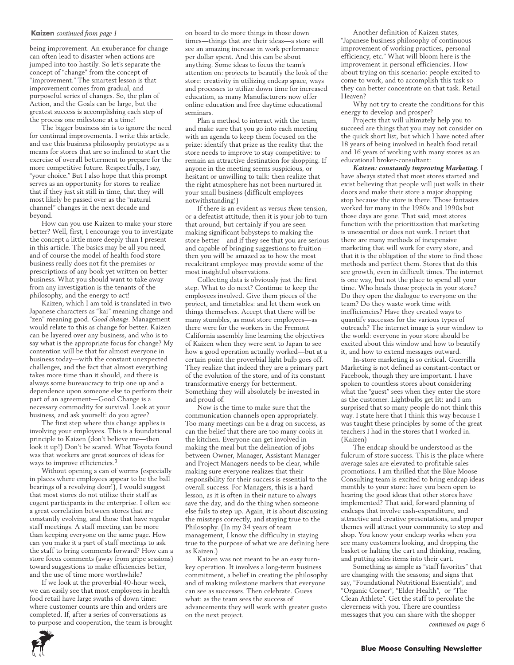#### **Kaizen** *continued from page 1*

being improvement. An exuberance for change can often lead to disaster when actions are jumped into too hastily. So let's separate the concept of "change" from the concept of "improvement." The smartest lesson is that improvement comes from gradual, and purposeful series of changes. So, the plan of Action, and the Goals can be large, but the greatest success is accomplishing each step of the process one milestone at a time!

The bigger business sin is to ignore the need for continual improvements. I write this article, and use this business philosophy prototype as a means for stores that are so inclined to start the exercise of overall betterment to prepare for the more competitive future. Respectfully, I say, "your choice." But I also hope that this prompt serves as an opportunity for stores to realize that if they just sit still in time, that they will most likely be passed over as the "natural channel" changes in the next decade and beyond.

How can you use Kaizen to make your store better? Well, first, I encourage you to investigate the concept a little more deeply than I present in this article. The basics may be all you need, and of course the model of health food store business really does not fit the premises or prescriptions of any book yet written on better business. What you should want to take away from any investigation is the tenants of the philosophy, and the energy to act!

Kaizen, which I am told is translated in two Japanese characters as "kai" meaning change and "zen" meaning good. *Good change.* Management would relate to this as change for better. Kaizen can be layered over any business, and who is to say what is the appropriate focus for change? My contention will be that for almost everyone in business today—with the constant unexpected challenges, and the fact that almost everything takes more time than it should, and there is always some bureaucracy to trip one up and a dependence upon someone else to perform their part of an agreement—Good Change is a necessary commodity for survival. Look at your business, and ask yourself: do you agree?

The first step where this change applies is involving your employees. This is a foundational principle to Kaizen (don't believe me—then look it up!) Don't be scared. What Toyota found was that workers are great sources of ideas for ways to improve efficiencies.<sup>3</sup>

Without opening a can of worms (especially in places where employees appear to be the ball bearings of a revolving door!), I would suggest that most stores do not utilize their staff as cogent participants in the enterprise. I often see a great correlation between stores that are constantly evolving, and those that have regular staff meetings. A staff meeting can be more than keeping everyone on the same page. How can you make it a part of staff meetings to ask the staff to bring comments forward? How can a store focus comments (away from gripe sessions) toward suggestions to make efficiencies better, and the use of time more worthwhile?

If we look at the proverbial 40-hour week, we can easily see that most employees in health food retail have large swaths of down time: where customer counts are thin and orders are completed. If, after a series of conversations as to purpose and cooperation, the team is brought on board to do more things in those down times—things that are their ideas—a store will see an amazing increase in work performance per dollar spent. And this can be about anything. Some ideas to focus the team's attention on: projects to beautify the look of the store: creativity in utilizing endcap space, ways and processes to utilize down time for increased education, as many Manufacturers now offer online education and free daytime educational seminars.

Plan a method to interact with the team, and make sure that you go into each meeting with an agenda to keep them focused on the prize: identify that prize as the reality that the store needs to improve to stay competitive: to remain an attractive destination for shopping. If anyone in the meeting seems suspicious, or hesitant or unwilling to talk: then realize that the right atmosphere has not been nurtured in your small business (difficult employees notwithstanding!)

If there is an evident *us* versus *them* tension, or a defeatist attitude, then it is your job to turn that around, but certainly if you are seen making significant babysteps to making the store better—and if they see that you are serious and capable of bringing suggestions to fruition then you will be amazed as to how the most recalcitrant employee may provide some of the most insightful observations.

Collecting data is obviously just the first step. What to do next? Continue to keep the employees involved. Give them pieces of the project, and timetables: and let them work on things themselves. Accept that there will be many stumbles, as most store employees—as there were for the workers in the Fremont California assembly line learning the objectives of Kaizen when they were sent to Japan to see how a good operation actually worked—but at a certain point the proverbial light bulb goes off. They realize that indeed they are a primary part of the evolution of the store, and of its constant transformative energy for betterment. Something they will absolutely be invested in and proud of.

Now is the time to make sure that the communication channels open appropriately. Too many meetings can be a drag on success, as can the belief that there are too many cooks in the kitchen. Everyone can get involved in making the meal but the delineation of jobs between Owner, Manager, Assistant Manager and Project Managers needs to be clear, while making sure everyone realizes that their responsibility for their success is essential to the overall success. For Managers, this is a hard lesson, as it is often in their nature to always save the day, and do the thing when someone else fails to step up. Again, it is about discussing the missteps correctly, and staying true to the Philosophy. (In my 34 years of team management, I know the difficulty in staying true to the purpose of what we are defining here as Kaizen.)

Kaizen was not meant to be an easy turnkey operation. It involves a long-term business commitment, a belief in creating the philosophy and of making milestone markers that everyone can see as successes. Then celebrate. Guess what: as the team sees the success of advancements they will work with greater gusto on the next project.

Another definition of Kaizen states, "Japanese business philosophy of continuous improvement of working practices, personal efficiency, etc." What will bloom here is the improvement in personal efficiencies. How about trying on this scenario: people excited to come to work, and to accomplish this task so they can better concentrate on that task. Retail Heaven?

Why not try to create the conditions for this energy to develop and prosper?

Projects that will ultimately help you to succeed are things that you may not consider on the quick short list, but which I have noted after 18 years of being involved in health food retail and 16 years of working with many stores as an educational broker-consultant:

*Kaizen: constantly improving Marketing.* I have always stated that most stores started and exist believing that people will just walk in their doors and make their store a major shopping stop because the store is there. Those fantasies worked for many in the 1980s and 1990s but those days are gone. That said, most stores function with the prioritization that marketing is unessential or does not work. I retort that there are many methods of inexpensive marketing that will work for every store, and that it is the obligation of the store to find those methods and perfect them. Stores that do this see growth, even in difficult times. The internet is one way, but not the place to spend all your time. Who heads those projects in your store? Do they open the dialogue to everyone on the team? Do they waste work time with inefficiencies? Have they created ways to quantify successes for the various types of outreach? The internet image is your window to the world: everyone in your store should be excited about this window and how to beautify it, and how to extend messages outward.

In-store marketing is so critical. Guerrilla Marketing is not defined as constant-contact or Facebook, though they are important. I have spoken to countless stores about considering what the "guest" sees when they enter the store as the customer. Lightbulbs get lit: and I am surprised that so many people do not think this way. I state here that I think this way because I was taught these principles by some of the great teachers I had in the stores that I worked in. (Kaizen)

The endcap should be understood as the fulcrum of store success. This is the place where average sales are elevated to profitable sales promotions. I am thrilled that the Blue Moose Consulting team is excited to bring endcap ideas monthly to your store: have you been open to hearing the good ideas that other stores have implemented? That said, forward planning of endcaps that involve cash-expenditure, and attractive and creative presentations, and proper themes will attract your community to stop and shop. You know your endcap works when you see many customers looking, and dropping the basket or halting the cart and thinking, reading, and putting sales items into their cart.

Something as simple as "staff favorites" that are changing with the seasons; and signs that say, "Foundational Nutritional Essentials", and "Organic Corner", "Elder Health", or "The Clean Athlete". Get the staff to percolate the cleverness with you. There are countless messages that you can share with the shopper *continued on page 6*

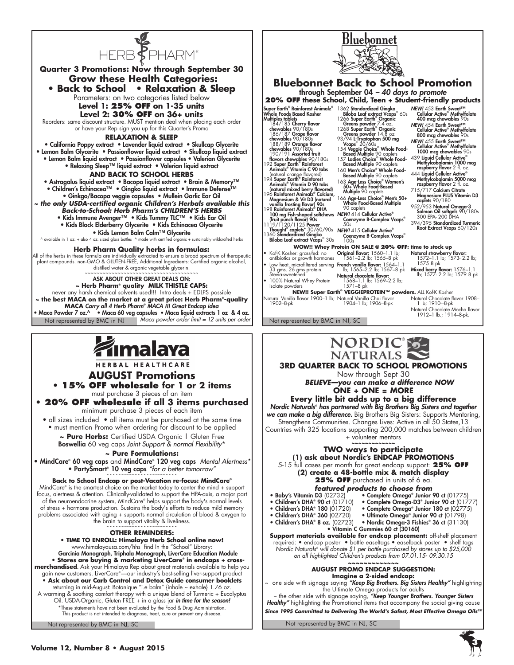

### **Herb Pharm Quality herbs in formulas:**

All of the herbs in these formula are individually extracted to ensure a broad spectrum of therapeutic plant compounds. non-GMO & GLUTEN-FREE, Additional Ingredients: Certified organic alcohol, distilled water & organic vegetable glycerin.

Not represented by BMC in NJ Maca powder order limit = 12 units per order **NAC** Not represented by BMC in NJ, SC ASK ABOUT OTHER GREAT DEALS ON: **~ Herb Pharm® quality MILK THISTLE CAPS:** never any harsh chemical solvents used!!! Intro deals + EDLPS possible **~ the best MACA on the market at a great price: Herb Pharm® -quality MACA** *Carry all 4 Herb Pharm® MACA !!! Great Endcap idea* • Maca Powder 7 oz.^ • Maca 60 veg capsules **•** Maca liquid extracts 1 oz & 4 oz.



HERBAL HEALTHCARE

## **AUGUST Promotions • 15% OFF wholesale for 1 or 2 items**

must purchase 3 pieces of an item

**• 20% OFF wholesale if all 3 items purchased** minimum purchase 3 pieces of each item

• all sizes included • all items must be purchased at the same time • must mention Promo when ordering for discount to be applied

**~ Pure Herbs:** Certified USDA Organic | Gluten Free

Boswellia 60 veg caps *Joint Support & normal Flexibility*\*

# **~ Pure Formulations:**

• MindCare® 60 veg caps and MindCare® 120 veg caps *Mental Alertness\** • PartySmart® 10 veg caps *"for a better tomorrow"* ~~~~~~~~~~~~~~~~~~~~~~~

## **Back to School Endcap or post-Vacation re-focus: MindCare®**

MindCare® is the smartest choice on the market today to center the mind + support focus, alertness & attention. Clinically-validated to support the HPA-axis, a major part of the neuroendocrine system, MindCare® helps support the body's normal levels of stress + hormone production. Sustains the body's efforts to reduce mild memory problems associated with aging + supports normal circulation of blood & oxygen to the brain to support vitality & liveliness.

## **OTHER REMINDERS:**

**• TIME TO ENROLL: Himalaya Herb School online now!**

www.himalayausa.com/hhs find In the "School" Library: Garcinia Monograph, Triphala Monograph, LiverCare Education Module **• Stores are buying & marketing LiverCare® in endcaps + crossmerchandised.** Ask your Himalaya Rep about great materials available to help you gain new customers. LiverCare® —our industry's best-selling liver-support product **• Ask about our Carb Control and Detox Guide consumer booklets** returning in mid-August: Botanique "i.e balm" {inhale ~ exhale} 1.76 oz. A warming & soothing comfort therapy with a unique blend of Turmeric + Eucalyptus Oil. USDA-Organic, Gluten FREE + in a glass jar *in time for the season!* \*These statements have not been evaluated by the Food & Drug Administration.

This product is not intended to diagnose, treat, cure or prevent any disease.

Not represented by BMC in NJ, SC



<u>Bluebonnet</u>

• Low heat, microfiltered serving **French vanilla flavor:** 1564–1.1 Original flavor: 1560–1.1 lb;<br>1561–2.2 lb; 1565–8 pk **Natural strawberry flavor:**<br>1572–1.1 lb; 1573- 2.2 lb;<br>1575 8 pk

• 100% Natural Whey Protein lb; 1565–2.2 lb; 1567–8 pk<br>**Natural chocolate flavor:**<br>1568–1.1 lb; 1569–2.2 lb;<br>1571–8 pk

Isolate powders **NEW!! Super Earth® VEGGIEPROTEIN™ powders.** ALL Kof-K Kosher

Natural Vanilla flavor 1900–1 lb; 1902–8-pk Natural Vanilla Chai flavor 1904–1 lb; 1906–8-pk

antibiotics or growth hormones

33 gms. 26 gms protein. Stevia-sweetened

**Mixed berry flavor:** 1576–1.1<br>lb; 1577- 2.2 lb; 1579 8 pk

Natural Chocolate flavor 1908– 1 lb; 1910-–8-pk Natural Chocolate Mocha flavor 1912–1 lb.; 1914–8-pk.



# **3rd Quarter Back to School Promotions**

Now through Sept 30

*BELIEVE—you can make a difference NOW* **ONE + ONE = MORE**

**Every little bit adds up to a big difference** *Nordic Naturals® has partnered with Big Brothers Big Sisters and together we can make a big difference.* Big Brothers Big Sisters: Supports Mentoring, Strengthens Communities. Changes Lives: Active in all 50 States,13 Countries with 325 locations supporting 200,000 matches between children + volunteer mentors **~~~~~~~~~~~~~**

### **TWO ways to participate (1) ask about Nordic's ENDCAP PROMOTIONS**

5-15 full cases per month for great endcap support: **25% OFF**

- **(2) create a 48-bottle mix & match display**
	- **25% OFF** purchased in units of 6 ea.
	- *featured products to choose from*
- Baby's Vitamin D3 (02732) · Complete Omega<sup>®</sup> Junior 90 ct (01775)
- Children's DHA® 90 ct (01710) • Complete Omega-D3® Junior 90 ct (01777)
- Children's DHA® 180 (01720) • Complete Omega® Junior 180 ct (02775)
- Children's DHA® 360 (02720) • Ultimate Omega® Junior 90 ct (01798)
- Children's DHA® 8 oz. (02723) Nordic Omega-3 Fishies® 36 ct (31130)
	- Vitamin C Gummies 60 ct (30160)

**Support materials available for endcap placement:** off-shelf placement required: • endcap poster • bottle easeltags • easelback poster • shelf tags *Nordic Naturals® will donate \$1 per bottle purchased by stores up to \$25,000 on all highlighted Children's products from 07.01.15- 09.30.15* **~~~~~~~~~~~~~**

#### **AUGUST PROMO ENDCAP SUGGESTION: Imagine a 2-sided endcap:**

~ one side with signage saying *"Keep Big Brothers. Big Sisters Healthy"* highlighting the Ultimate Omega products for adults ~ the other side with signage saying, *"Keep Younger Brothers. Younger Sisters* 

Healthy" highlighting the Promotional items that accompany the social giving cause *Since 1995 Committed to Delivering The World's Safest, Most Effective Omega Oils™*

Not represented by BMC in NJ, SC

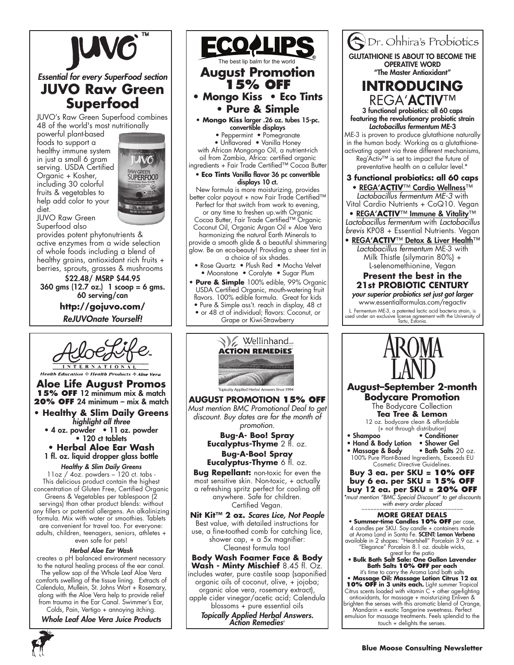

*Essential for every SuperFood section*

# **JUVO Raw Green Superfood**

JUVO's Raw Green Superfood combines 48 of the world's most nutritionally

powerful plant-based foods to support a healthy immune system in just a small 6 gram serving. USDA Certified Organic + Kosher, including 30 colorful fruits & vegetables to help add color to your diet.

JUVO Raw Green



Superfood also provides potent phytonutrients & active enzymes from a wide selection of whole foods including a blend of healthy grains, antioxidant rich fruits + berries, sprouts, grasses & mushrooms

\$22.48/ MSRP \$44.95 360 gms (12.7 oz.) 1 scoop = 6 gms. 60 serving/can

> **http://gojuvo.com/** *ReJUVOnate Yourself!*



**Health Education & Health Products & Aloe Aloe Life August Promos 15% OFF** 12 minimum mix & match **20% OFF** 24 minimum – mix & match

- **Healthy & Slim Daily Greens**  *highlight all three*
	- 4 oz. powder 11 oz. powder • 120 ct tablets
	- **Herbal Aloe Ear Wash** 1 fl. oz. liquid dropper glass bottle

# *Healthy & Slim Daily Greens*

11oz / 4oz. powders – 120 ct. tabs - This delicious product contain the highest concentration of Gluten Free, Certified Organic Greens & Vegetables per tablespoon (2 servings) than other product blends: without any fillers or potential allergens. An alkalinizing formula. Mix with water or smoothies. Tablets are convenient for travel too. For everyone: adults, children, teenagers, seniors, athletes + even safe for pets!

## *Herbal Aloe Ear Wash*

creates a pH balanced environment necessary to the natural healing process of the ear canal. The yellow sap of the Whole Leaf Aloe Vera comforts swelling of the tissue lining. Extracts of Calendula, Mullein, St. Johns Wort + Rosemary, along with the Aloe Vera help to provide relief from trauma in the Ear Canal. Swimmer's Ear,

Colds, Pain, Vertigo + annoying itching. *Whole Leaf Aloe Vera Juice Products*



<u>ECOAL</u> The best lip balm for the world**August Promotion 15% OFF • Mongo Kiss • Eco Tints • Pure & Simple • Mongo Kiss** larger .26 oz. tubes 15-pc. convertible displays • Peppermint • Pomegranate • Unflavored • Vanilla Honey with African Mongongo Oil, a nutrient-rich oil from Zambia, Africa: certified organic ingredients + Fair Trade Certified™ Cocoa Butter • **Eco Tints** Vanilla flavor 36 pc convertible displays 10 ct. New formula is more moisturizing, provides better color payout + now Fair Trade Certified™ Perfect for that switch from work to evening, or any time to freshen up.with Organic Cocoa Butter, Fair Trade Certified™ Organic Coconut Oil, Organic Argan Oil + Aloe Vera harmonizing the natural Earth Minerals to provide a smooth glide & a beautiful shimmering glow. Be an eco-beauty! Providing a sheer tint in a choice of six shades. • Rose Quartz • Plush Red • Mocha Velvet • Moonstone • Coralyte • Sugar Plum **Pure & Simple** 100% edible, 99% Organic USDA Certified Organic, mouth-watering fruit flavors. 100% edible formula. Great for kids • Pure & Simple ass't. reach in display, 48 ct • or 48 ct of individual; flavors: Coconut, or Grape or Kiwi-Strawberry



**August PROMOTION 15% OFF** *Must mention BMC Promotional Deal to get discount. Buy dates are for the month of promotion.*

> **Bug-A- Boo! Spray Eucalyptus-Thyme** 2 fl. oz. **Bug-A-Boo! Spray Eucalyptus-Thyme** 6 fl. oz.

**Bug Repellant:** non-toxic for even the most sensitive skin. Non-toxic, + actually a refreshing spritz perfect for cooling off anywhere. Safe for children. Certified Vegan.

**Nit Kit™ 2 oz.** *Scares Lice, Not People* Best value, with detailed instructions for use, a fine-toothed comb for catching lice, shower cap, + a 5x magnifier: Cleanest formula too!

**Body Wash Foamer Face & Body Wash - Minty Mischief** 8.45 fl. Oz. includes water, pure castile soap (saponified organic oils of coconut, olive, + jojoba; organic aloe vera, rosemary extract), apple cider vinegar/acetic acid; Calendula blossoms + pure essential oils *Topically Applied Herbal Answers. Action Remedies*®

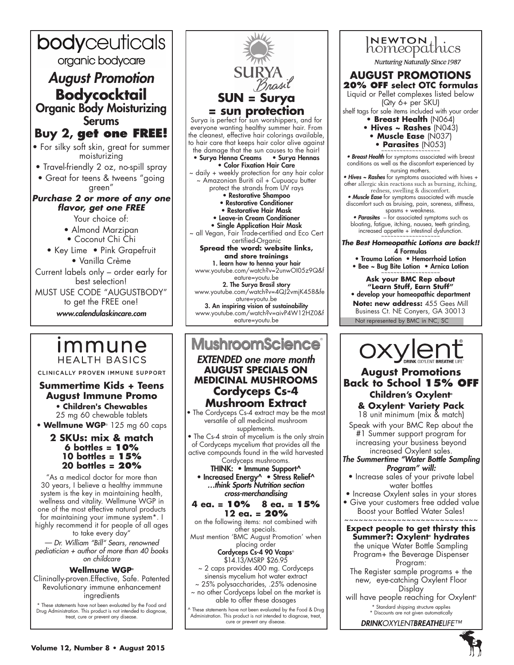

# <u>Immune</u> **HEALTH BASICS**

CLINICALLY PROVEN IMMUNE SUPPORT

# **Summertime Kids + Teens August Immune Promo** • **Children's Chewables**

25 mg 60 chewable tablets • **Wellmune WGP**® 125 mg 60 caps

# **2 SKUs: mix & match 6 bottles = 10% 10 bottles = 15% 20 bottles = 20%**

"As a medical doctor for more than 30 years, I believe a healthy immmune system is the key in maintaining health, wellness and vitality. Wellmune WGP in one of the most effective natural products for maintaining your immune system\*. I

highly recommend it for people of all ages to take every day" *— Dr. William "Bill" Sears, renowned* 

*pediatician + author of more than 40 books on childcare*

# **Wellmune WGP®**

Clininally-proven.Effective, Safe. Patented Revolutionary immune enhancement ingredients

\* These statements have not been evaluated by the Food and Drug Administration. This product is not intended to diagnose, treat, cure or prevent any disease.



# **MushroomScience**

# *EXTENDED one more month* **August SPECIALS on MEDICINAL MUSHROOMS Cordyceps Cs-4 Mushroom Extract**

• The Cordyceps Cs-4 extract may be the most versatile of all medicinal mushroom supplements.

• The Cs-4 strain of mycelium is the only strain of Cordyceps mycelium that provides all the active compounds found in the wild harvested Cordyceps mushrooms.

# THINK: • Immune Support^ • Increased Energy^ • Stress Relief^

*…think Sports Nutrition section cross-merchandising*

#### **4 ea. = 10% 8 ea. = 15% 12 ea. = 20%**

on the following items: not combined with other specials. Must mention 'BMC August Promotion' when placing order Cordyceps Cs-4 90 Vcaps®

\$14.13/MSRP \$26.95

~ 2 caps provides 400 mg. Cordyceps sinensis mycelium hot water extract

~ 25% polysaccharides, .25% adenosine ~ no other Cordyceps label on the market is able to offer these dosages

^ These statements have not been evaluated by the Food & Drug Administration. This product is not intended to diagnose, treat, cure or prevent any disease.

INEWTON<br>homeopathics **Nurturing Naturally Since 1987 AUGUST PROMOTIONS 20% OFF select OTC formulas** Liquid or Pellet complexes listed below (Qty 6+ per SKU) shelf tags for sale items included with your order **• Breast Health** (N064) **• Hives ~ Rashes** (N043) **• Muscle Ease** (N037) • **Parasites** (N053) • Breast Health for symptoms associated with breast conditions as well as the discomfort experienced by nursing mothers. • Hives ~ Rashes for symptoms associated with hives + other allergic skin reactions such as burning, itching, redness, swelling & discomfort. • Muscle Ease for symptoms associated with muscle discomfort such as bruising, pain, soreness, stiffness, spasms + weakness. • **Parasites** – for associated symptoms such as bloating, fatigue, itching, nausea, teeth grinding, increased appetite + intestinal dysfunction. *The Best Homeopathic Lotions are back!!* 4 Formulas • Trauma Lotion • Hemorrhoid Lotion • Bee ~ Bug Bite Lotion • Arnica Lotion **Ask your BMC Rep about "Learn Stuff, Earn Stuff"** • develop your homeopathic department **Note: new address:** 455 Gees Mill Business Ct. NE Conyers, GA 30013Not represented by BMC in NC, SC

# **August Promotions Back to School 15% OFF Children's Oxylent®**

**& Oxylent® Variety Pack** 18 unit minimum (mix & match)

Speak with your BMC Rep about the #1 Summer support program for increasing your business beyond increased Oxylent sales.

## *The Summertime "Water Bottle Sampling Program" will:*

- Increase sales of your private label water bottles
- Increase Oxylent sales in your stores
- Give your customers free added value Boost your Bottled Water Sales!  $~\sim~\sim~\sim~\sim~\sim~\sim~\sim~\sim~\sim~$

**Expect people to get thirsty this Summer?: Oxylent® hydrates** the unique Water Bottle Sampling Program+ the Beverage Dispenser Program:

The Register sample programs + the new, eye-catching Oxylent Floor Display

will have people reaching for Oxylent<sup>®</sup> \* Standard shipping structure applies

\* Discounts are not given automatically *DRINKOXYLENTBREATHELIFE™*



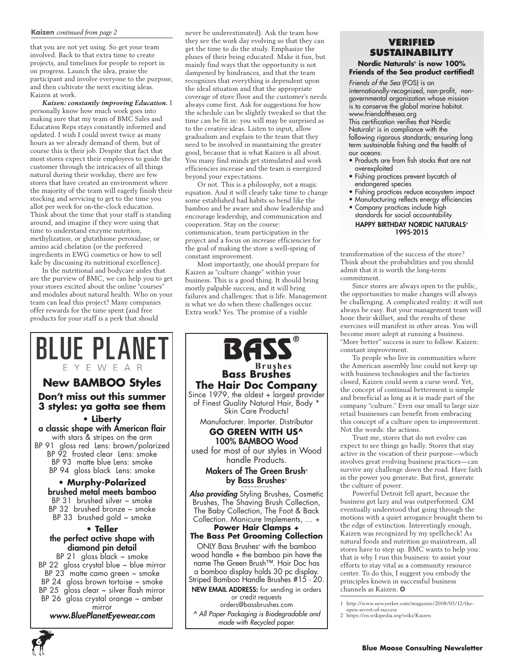#### **Kaizen** *continued from page 2*

that you are not yet using. So get your team involved. Back to that extra time to create projects, and timelines for people to report in on progress. Launch the idea, praise the participant and involve everyone to the purpose, and then cultivate the next exciting ideas. Kaizen at work.

*Kaizen: constantly improving Education.* I personally know how much work goes into making sure that my team of BMC Sales and Education Reps stays constantly informed and updated. I wish I could invest twice as many hours as we already demand of them, but of course this is their job. Despite that fact that most stores expect their employees to guide the customer through the intricacies of all things natural during their workday, there are few stores that have created an environment where the majority of the team will eagerly finish their stocking and servicing to get to the time you allot per week for on-the-clock education. Think about the time that your staff is standing around, and imagine if they were using that time to understand enzyme nutrition, methylization, or glutathione peroxidase, or amino acid chelation (or the preferred ingredients in EWG cosmetics or how to sell kale by discussing its nutritional excellence).

In the nutritional and bodycare aisles that are the purview of BMC, we can help you to get your stores excited about the online "courses" and modules about natural health. Who on your team can lead this project? Many companies offer rewards for the time spent (and free products for your staff is a perk that should

never be underestimated). Ask the team how they see the work day evolving so that they can get the time to do the study. Emphasize the pluses of their being educated. Make it fun, but mainly find ways that the opportunity is not dampened by hindrances, and that the team recognizes that everything is dependent upon the ideal situation and that the appropriate coverage of store floor and the customer's needs always come first. Ask for suggestions for how the schedule can be slightly tweaked so that the time can be fit in: you will may be surprised as to the creative ideas. Listen to input, allow gradualism and explain to the team that they need to be involved in maintaining the greater good, because that is what Kaizen is all about. You many find minds get stimulated and work efficiencies increase and the team is energized beyond your expectations.

Or not. This is a philosophy, not a magic equation. And it will clearly take time to change some established bad habits so bend like the bamboo and be aware and show leadership and encourage leadership, and communication and cooperation. Stay on the course: communication, team participation in the project and a focus on increase efficiencies for the goal of making the store a well-spring of constant improvement.

Most importantly, one should prepare for Kaizen as "culture change" within your business. This is a good thing. It should bring mostly palpable success, and it will bring failures and challenges: that is life. Management is what we do when these challenges occur. Extra work? Yes. The promise of a visible

**Bass Brushes**

**BASS** 

Skin Care Products!

100% BAMBOO Wood

handle Products.

by Bass Brushes® ~~~~~~~~~~

**Power Hair Clamps +**



### **Verified Sustainability**

## **Nordic Naturals® is now 100% Friends of the Sea product certified!**

*Friends of the Sea* (FOS) is an internationally-recognized, non-profit, nongovernmental organization whose mission is to conserve the global marine habitat. www.friendofthesea.org This certification verifies that Nordic Naturals® is in compliance with the following rigorous standards; ensuring long term sustainable fishing and the health of

- our oceans:
- Products are from fish stocks that are not overexploited
- Fishing practices prevent bycatch of endangered species
- Fishing practices reduce ecosystem impact
- Manufacturing reflects energy efficiencies

1995-2015

• Company practices include high standards for social accountability HAPPY BIRTHDAY NORDIC NATURALS®

transformation of the success of the store? Think about the probabilities and you should admit that it is worth the long-term commitment.

Since stores are always open to the public, the opportunities to make changes will always be challenging. A complicated reality: it will not always be easy. But your management team will hone their skillset, and the results of these exercises will manifest in other areas. You will become more adept at running a business. "More better" success is sure to follow. Kaizen: constant improvement.

To people who live in communities where the American assembly line could not keep up with business technologies and the factories closed, Kaizen could seem a curse word. Yet, the concept of continual betterment is simple and beneficial as long as it is made part of the company "culture." Even our small to large size retail businesses can benefit from embracing this concept of a culture open to improvement. Not the words: the actions.

Trust me, stores that do not evolve can expect to see things go badly. Stores that stay active in the vocation of their purpose—which involves great evolving business practices—can survive any challenge down the road. Have faith in the power you generate. But first, generate the culture of power.

Powerful Detroit fell apart, because the business got lazy and was outperformed. GM eventually understood that going through the motions with a quiet arrogance brought them to the edge of extinction. Interestingly enough, Kaizen was recognized by my spellcheck! As natural foods and nutrition go mainstream, all stores have to step up. BMC wants to help you: that is why I run this business: to assist your efforts to stay vital as a community resource center. To do this, I suggest you embody the principles known in successful business channels as Kaizen. ❂

*made with Recycled paper.*

or credit requests orders@bassbrushes.com

<sup>1</sup> http://www.newyorker.com/magazine/2008/05/12/the-

open-secret-of-success 2 https://en.wikipedia.org/wiki/Kaizen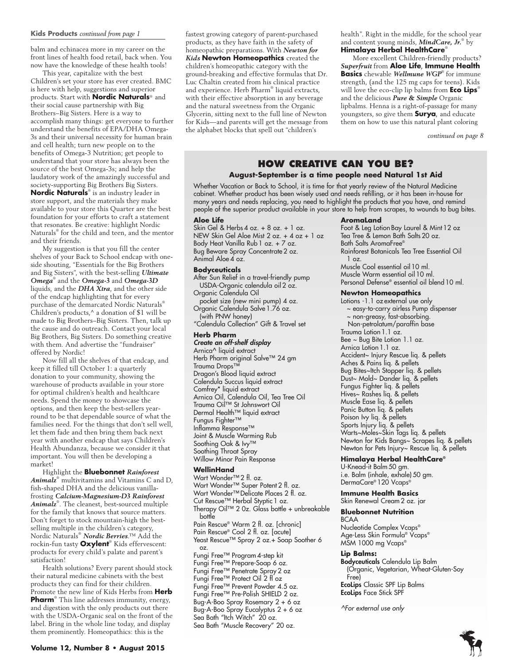#### **Kids Products** *continued from page 1*

balm and echinacea more in my career on the front lines of health food retail, back when. You now have the knowledge of these health tools!

This year, capitalize with the best Children's set your store has ever created. BMC is here with help, suggestions and superior products. Start with **Nordic Naturals**® and their social cause partnership with Big Brothers–Big Sisters. Here is a way to accomplish many things: get everyone to further understand the benefits of EPA/DHA Omega-3s and their universal necessity for human brain and cell health; turn new people on to the benefits of Omega-3 Nutrition; get people to understand that your store has always been the source of the best Omega-3s; and help the laudatory work of the amazingly successful and society-supporting Big Brothers Big Sisters. **Nordic Naturals**® is an industry leader in store support, and the materials they make available to your store this Quarter are the best foundation for your efforts to craft a statement that resonates. Be creative: highlight Nordic Naturals® for the child and teen, and the mentor and their friends.

My suggestion is that you fill the center shelves of your Back to School endcap with oneside shouting, "Essentials for the Big Brothers and Big Sisters", with the best-selling *Ultimate Omega*® and the *Omega-3* and *Omega-3D* liquids, and the *DHA Xtra*, and the other side of the endcap highlighting that for every purchase of the demarcated Nordic Naturals® Children's products,^ a donation of \$1 will be made to Big Brothers–Big Sisters. Then, talk up the cause and do outreach. Contact your local Big Brothers, Big Sisters. Do something creative with them. And advertise the "fundraiser" offered by Nordic!

Now fill all the shelves of that endcap, and keep it filled till October 1: a quarterly donation to your community, showing the warehouse of products available in your store for optimal children's health and healthcare needs. Spend the money to showcase the options, and then keep the best-sellers yearround to be that dependable source of what the families need. For the things that don't sell well, let them fade and then bring them back next year with another endcap that says Children's Health Abundanza, because we consider it that important. You will then be developing a market!

Highlight the **Bluebonnet** *Rainforest Animalz*® multivitamins and Vitamins C and D, fish-shaped DHA and the delicious vanillafrosting *Calcium-Magnesium-D3 Rainforest Animalz*® . The cleanest, best-sourced multiple for the family that knows that source matters. Don't forget to stock mountain-high the bestselling multiple in the children's category, Nordic Naturals® *Nordic Berries*.™ Add the rockin-fun tasty **Oxylent**® Kids effervescent: products for every child's palate and parent's satisfaction!

Health solutions? Every parent should stock their natural medicine cabinets with the best products they can find for their children. Promote the new line of Kids Herbs from **Herb Pharm**® This line addresses immunity, energy, and digestion with the only products out there with the USDA-Organic seal on the front of the label. Bring in the whole line today, and display them prominently. Homeopathics: this is the

fastest growing category of parent-purchased products, as they have faith in the safety of homeopathic preparations. With *Newton for Kids* **Newton Homeopathics** created the children's homeopathic category with the ground-breaking and effective formulas that Dr. Luc Chaltin created from his clinical practice and experience. Herb Pharm® liquid extracts, with their effective absorption in any beverage and the natural sweetness from the Organic Glycerin, sitting next to the full line of Newton for Kids—and parents will get the message from the alphabet blocks that spell out "children's

health". Right in the middle, for the school year and content young minds, *MindCare, Jr.*® by **Himalaya Herbal HealthCare**®

More excellent Children-friendly products? *Superfruit* from **Aloe Life**, **Immune Health Basics** chewable *Wellmune WGP*® for immune strength, (and the 125 mg caps for teens). Kids will love the eco-clip lip balms from **Eco Lips**® and the delicious *Pure & Simple* Organic lipbalms. Henna is a right-of-passage for many youngsters, so give them **Surya**, and educate them on how to use this natural plant coloring

*continued on page 8*

# **How Creative Can You Be?**

### **August-September is a time people need Natural 1st Aid**

Whether Vacation or Back to School, it is time for that yearly review of the Natural Medicine cabinet. Whether product has been wisely used and needs refilling, or it has been in-house for many years and needs replacing, you need to highlight the products that you have, and remind people of the superior product available in your store to help from scrapes, to wounds to bug bites.

#### **Aloe Life**

Skin Gel & Herbs 4 oz. + 8 oz. + 1 oz. NEW Skin Gel Aloe Mist 2 oz. + 4 oz + 1 oz Body Heat Vanilla Rub 1 oz. + 7 oz. Bug Beware Spray Concentrate 2 oz. Animal Aloe 4 oz.

#### **Bodyceuticals**

After Sun Relief in a travel-friendly pump USDA-Organic calendula oil 2 oz. Organic Calendula Oil pocket size (new mini pump) 4 oz. Organic Calendula Salve 1.76 oz. (with PNW honey) "Calendula Collection" Gift & Travel set

#### **Herb Pharm** *Create an off-shelf display*

Arnica^ liquid extract Herb Pharm original Salve™ 24 gm Trauma Drops™ Dragon's Blood liquid extract Calendula Succus liquid extract Comfrey\* liquid extract Arnica Oil, Calendula Oil, Tea Tree Oil Trauma Oil™ St Johnswort Oil Dermal Health™ liquid extract Fungus Fighter™ Inflamma Response™ Joint & Muscle Warming Rub Soothing Oak & Ivy™ Soothing Throat Spray Willow Minor Pain Response

#### **WellinHand**

Wart Wonder™ 2 fl. oz. Wart Wonder<sup>™</sup> Super Potent 2 fl. oz. Wart Wonder™ Delicate Places 2 fl. oz. Cut Rescue™ Herbal Styptic 1 oz. Therapy Oil™ 2 0z. Glass bottle + unbreakable bottle Pain Rescue® Warm 2 fl. oz. [chronic] Pain Rescue® Cool 2 fl. oz. [acute] Yeast Rescue™ Spray 2 oz.+ Soap Soother 6 oz. Fungi Free™ Program 4-step kit Fungi Free™ Prepare-Soap 6 oz. Fungi Free™ Penetrate Spray 2 oz Fungi Free™ Protect Oil 2 fl oz Fungi Free™ Prevent Powder 4.5 oz. Fungi Free™ Pre-Polish SHIELD 2 oz. Bug-A-Boo Spray Rosemary 2 + 6 oz Bug-A-Boo Spray Eucalyptus 2 + 6 oz Sea Bath "Itch Witch" 20 oz.

# Sea Bath "Muscle Recovery" 20 oz.

#### **AromaLand**

Foot & Leg Lotion Bay Laurel & Mint 12 oz Tea Tree & Lemon Bath Salts 20 oz. Bath Salts AromaFree® Rainforest Botanicals Tea Tree Essential Oil 1 oz. Muscle Cool essential oil 10 ml. Muscle Warm essential oil 10 ml. Personal Defense® essential oil blend 10 ml.

#### **Newton Homeopathics**

Lotions -1.1 oz external use only ~ easy-to-carry airless Pump dispenser ~ non-greasy, fast-absorbing. Non-petrolatum/paraffin base Trauma Lotion 1.1 oz. Bee ~ Bug Bite Lotion 1.1 oz. Arnica Lotion 1.1 oz. Accident~ Injury Rescue liq. & pellets Aches & Pains liq. & pellets Bug Bites~Itch Stopper liq. & pellets Dust~ Mold~ Dander liq. & pellets Fungus Fighter liq. & pellets Hives~ Rashes liq. & pellets Muscle Ease liq. & pellets Panic Button liq. & pellets Poison Ivy liq. & pellets Sports Injury liq. & pellets Warts~Moles~Skin Tags liq. & pellets Newton for Kids Bangs~ Scrapes liq. & pellets Newton for Pets Injury~ Rescue liq. & pellets

#### **Himalaya Herbal HealthCare®**

U-Knead-it Balm 50 gm. i.e. Balm (inhale, exhale) 50 gm. DermaCare® 120 Vcaps®

#### **Immune Health Basics**

Skin Renewal Cream 2 oz. jar

## **Bluebonnet Nutrition**

BCAA Nucleotide Complex Vcaps® Age-Less Skin Formula® Vcaps® MSM 1000 mg Vcaps®

#### **Lip Balms:**

Bodyceuticals Calendula Lip Balm (Organic, Vegetarian, Wheat-Gluten-Soy Free) EcoLips Classic SPF Lip Balms EcoLips Face Stick SPF

*^For external use only*